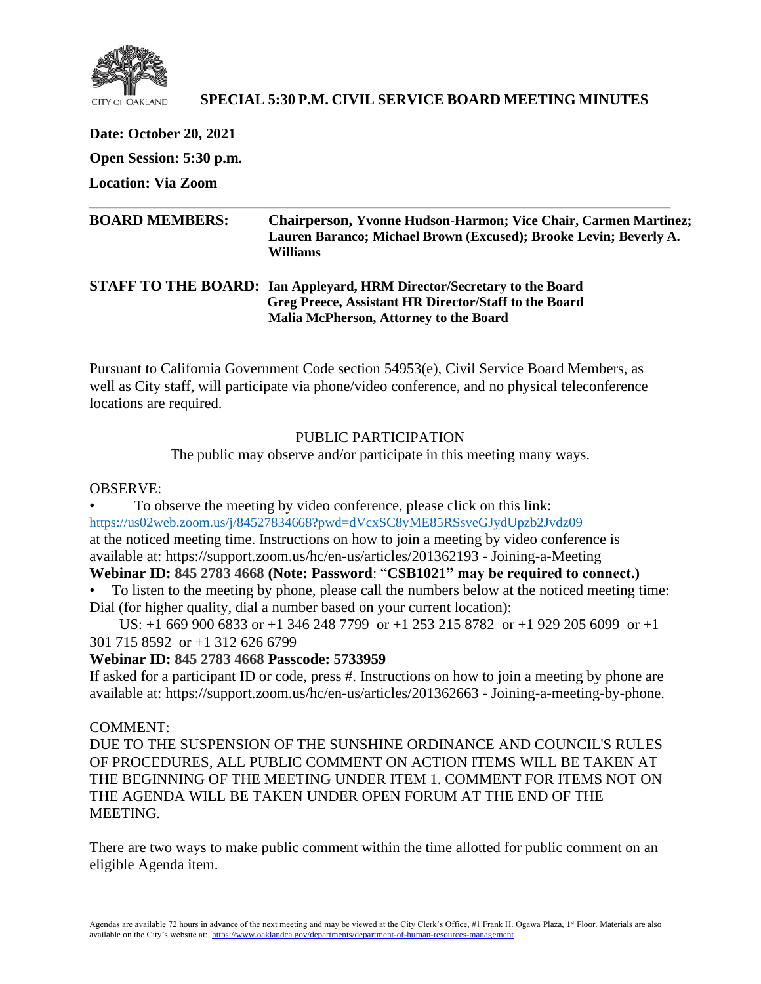

### **SPECIAL 5:30 P.M. CIVIL SERVICE BOARD MEETING MINUTES**

**Date: October 20, 2021 Open Session: 5:30 p.m.**

**Location: Via Zoom**

| <b>BOARD MEMBERS:</b> | <b>Chairperson, Yvonne Hudson-Harmon; Vice Chair, Carmen Martinez;</b><br>Lauren Baranco; Michael Brown (Excused); Brooke Levin; Beverly A.<br>Williams                   |
|-----------------------|---------------------------------------------------------------------------------------------------------------------------------------------------------------------------|
|                       | STAFF TO THE BOARD: Ian Appleyard, HRM Director/Secretary to the Board<br>Greg Preece, Assistant HR Director/Staff to the Board<br>Malia McPherson, Attorney to the Board |

Pursuant to California Government Code section 54953(e), Civil Service Board Members, as well as City staff, will participate via phone/video conference, and no physical teleconference locations are required.

### PUBLIC PARTICIPATION

The public may observe and/or participate in this meeting many ways.

#### OBSERVE:

• To observe the meeting by video conference, please click on this link: <https://us02web.zoom.us/j/84527834668?pwd=dVcxSC8yME85RSsveGJydUpzb2Jvdz09> at the noticed meeting time. Instructions on how to join a meeting by video conference is available at: https://support.zoom.us/hc/en-us/articles/201362193 - Joining-a-Meeting

### **Webinar ID: 845 2783 4668 (Note: Password**: "**CSB1021" may be required to connect.)**

• To listen to the meeting by phone, please call the numbers below at the noticed meeting time: Dial (for higher quality, dial a number based on your current location):

 US: +1 669 900 6833 or +1 346 248 7799 or +1 253 215 8782 or +1 929 205 6099 or +1 301 715 8592 or +1 312 626 6799

### **Webinar ID: 845 2783 4668 Passcode: 5733959**

If asked for a participant ID or code, press #. Instructions on how to join a meeting by phone are available at: https://support.zoom.us/hc/en-us/articles/201362663 - Joining-a-meeting-by-phone.

### COMMENT:

DUE TO THE SUSPENSION OF THE SUNSHINE ORDINANCE AND COUNCIL'S RULES OF PROCEDURES, ALL PUBLIC COMMENT ON ACTION ITEMS WILL BE TAKEN AT THE BEGINNING OF THE MEETING UNDER ITEM 1. COMMENT FOR ITEMS NOT ON THE AGENDA WILL BE TAKEN UNDER OPEN FORUM AT THE END OF THE MEETING.

There are two ways to make public comment within the time allotted for public comment on an eligible Agenda item.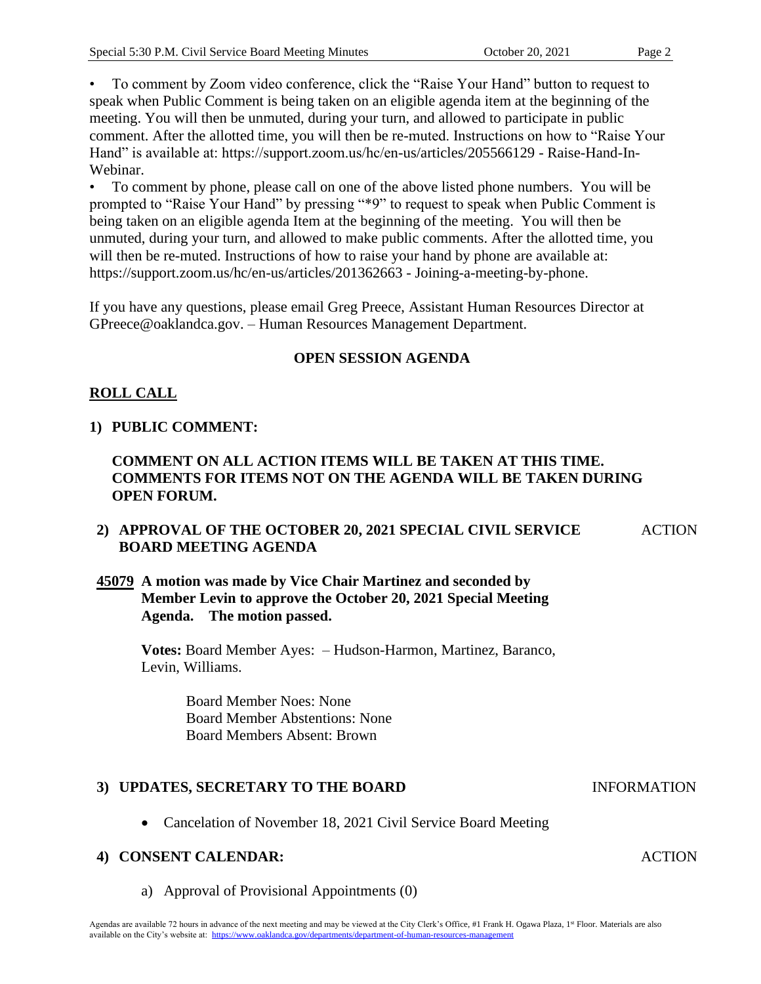• To comment by Zoom video conference, click the "Raise Your Hand" button to request to speak when Public Comment is being taken on an eligible agenda item at the beginning of the meeting. You will then be unmuted, during your turn, and allowed to participate in public comment. After the allotted time, you will then be re-muted. Instructions on how to "Raise Your Hand" is available at: https://support.zoom.us/hc/en-us/articles/205566129 - Raise-Hand-In-Webinar.

• To comment by phone, please call on one of the above listed phone numbers. You will be prompted to "Raise Your Hand" by pressing "\*9" to request to speak when Public Comment is being taken on an eligible agenda Item at the beginning of the meeting. You will then be unmuted, during your turn, and allowed to make public comments. After the allotted time, you will then be re-muted. Instructions of how to raise your hand by phone are available at: https://support.zoom.us/hc/en-us/articles/201362663 - Joining-a-meeting-by-phone.

If you have any questions, please email Greg Preece, Assistant Human Resources Director at GPreece@oaklandca.gov. – Human Resources Management Department.

### **OPEN SESSION AGENDA**

## **ROLL CALL**

### **1) PUBLIC COMMENT:**

### **COMMENT ON ALL ACTION ITEMS WILL BE TAKEN AT THIS TIME. COMMENTS FOR ITEMS NOT ON THE AGENDA WILL BE TAKEN DURING OPEN FORUM.**

#### **2) APPROVAL OF THE OCTOBER 20, 2021 SPECIAL CIVIL SERVICE BOARD MEETING AGENDA**  ACTION

### **45079 A motion was made by Vice Chair Martinez and seconded by Member Levin to approve the October 20, 2021 Special Meeting Agenda. The motion passed.**

**Votes:** Board Member Ayes: – Hudson-Harmon, Martinez, Baranco, Levin, Williams.

> Board Member Noes: None Board Member Abstentions: None Board Members Absent: Brown

### **3) UPDATES, SECRETARY TO THE BOARD**

• Cancelation of November 18, 2021 Civil Service Board Meeting

### **4) CONSENT CALENDAR:**

a) Approval of Provisional Appointments (0)

**ACTION** 

INFORMATION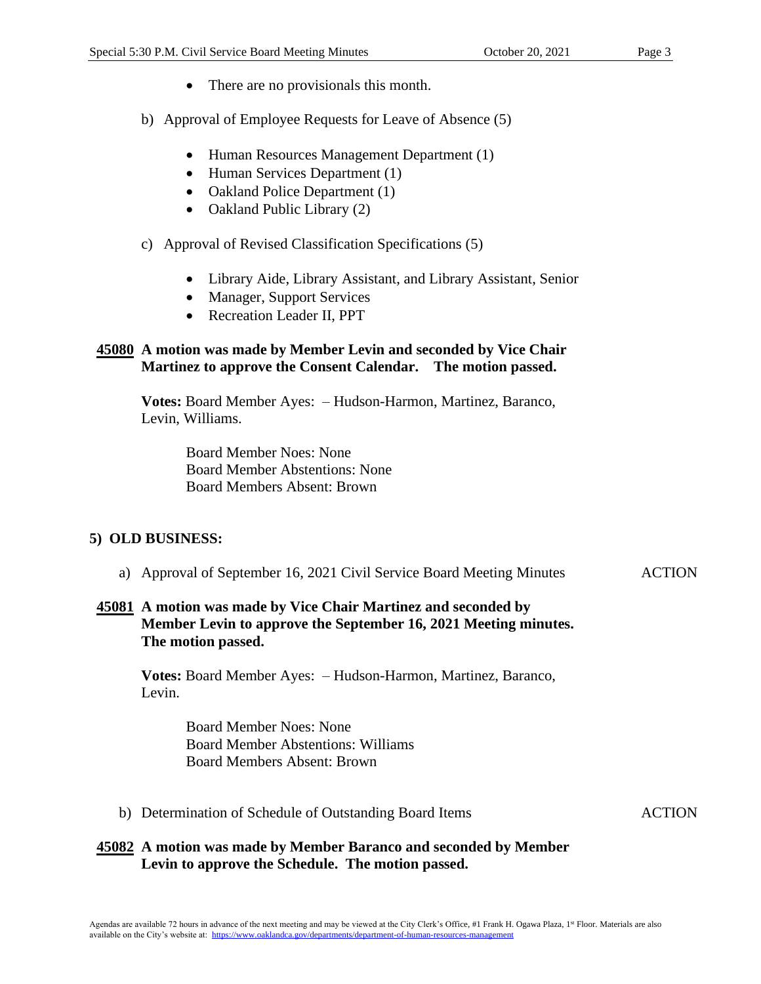- There are no provisionals this month.
- b) Approval of Employee Requests for Leave of Absence (5)
	- Human Resources Management Department (1)
	- Human Services Department (1)
	- Oakland Police Department (1)
	- Oakland Public Library (2)
- c) Approval of Revised Classification Specifications (5)
	- Library Aide, Library Assistant, and Library Assistant, Senior
	- Manager, Support Services
	- Recreation Leader II, PPT

### **45080 A motion was made by Member Levin and seconded by Vice Chair Martinez to approve the Consent Calendar. The motion passed.**

**Votes:** Board Member Ayes: – Hudson-Harmon, Martinez, Baranco, Levin, Williams.

> Board Member Noes: None Board Member Abstentions: None Board Members Absent: Brown

### **5) OLD BUSINESS:**

a) Approval of September 16, 2021 Civil Service Board Meeting Minutes ACTION

### **45081 A motion was made by Vice Chair Martinez and seconded by Member Levin to approve the September 16, 2021 Meeting minutes. The motion passed.**

**Votes:** Board Member Ayes: – Hudson-Harmon, Martinez, Baranco, Levin.

> Board Member Noes: None Board Member Abstentions: Williams Board Members Absent: Brown

b) Determination of Schedule of Outstanding Board Items ACTION

### **45082 A motion was made by Member Baranco and seconded by Member Levin to approve the Schedule. The motion passed.**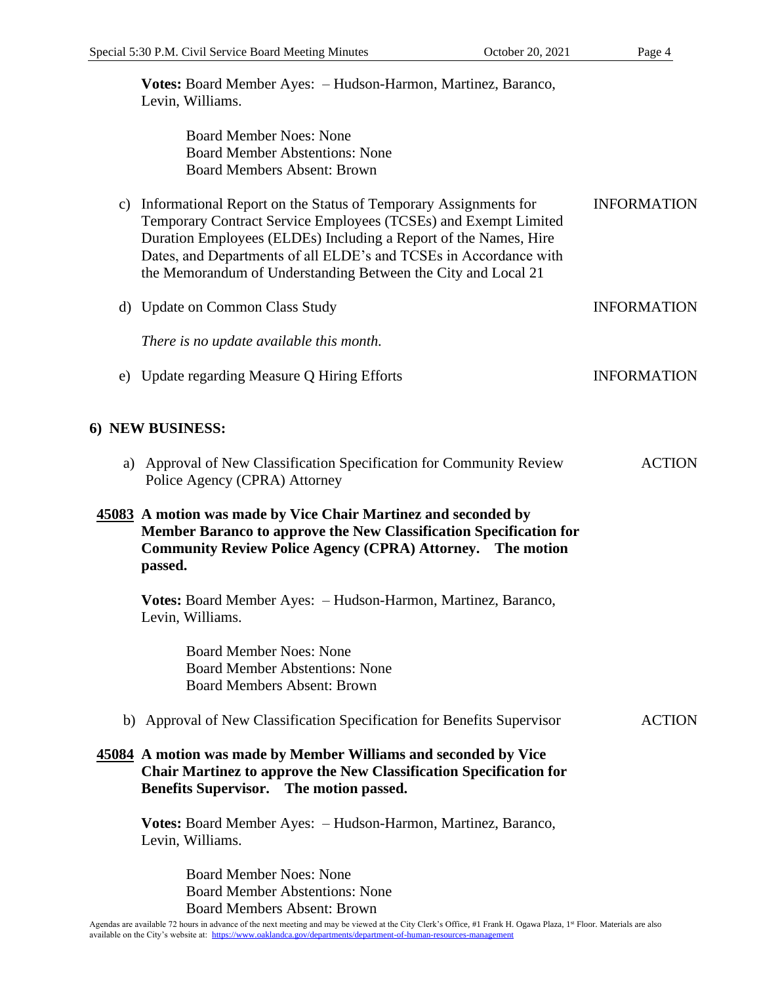| Votes: Board Member Ayes: - Hudson-Harmon, Martinez, Baranco, |  |
|---------------------------------------------------------------|--|
| Levin, Williams.                                              |  |

 Board Member Noes: None Board Member Abstentions: None Board Members Absent: Brown

- c) Informational Report on the Status of Temporary Assignments for Temporary Contract Service Employees (TCSEs) and Exempt Limited Duration Employees (ELDEs) Including a Report of the Names, Hire Dates, and Departments of all ELDE's and TCSEs in Accordance with the Memorandum of Understanding Between the City and Local 21 INFORMATION
- d) Update on Common Class Study *There is no update available this month.* INFORMATION
- e) Update regarding Measure Q Hiring Efforts INFORMATION

### **6) NEW BUSINESS:**

a) Approval of New Classification Specification for Community Review Police Agency (CPRA) Attorney ACTION

### **45083 A motion was made by Vice Chair Martinez and seconded by Member Baranco to approve the New Classification Specification for Community Review Police Agency (CPRA) Attorney. The motion passed.**

**Votes:** Board Member Ayes: – Hudson-Harmon, Martinez, Baranco, Levin, Williams.

> Board Member Noes: None Board Member Abstentions: None Board Members Absent: Brown

b) Approval of New Classification Specification for Benefits Supervisor **ACTION** 

### **45084 A motion was made by Member Williams and seconded by Vice Chair Martinez to approve the New Classification Specification for Benefits Supervisor. The motion passed.**

**Votes:** Board Member Ayes: – Hudson-Harmon, Martinez, Baranco, Levin, Williams.

> Board Member Noes: None Board Member Abstentions: None Board Members Absent: Brown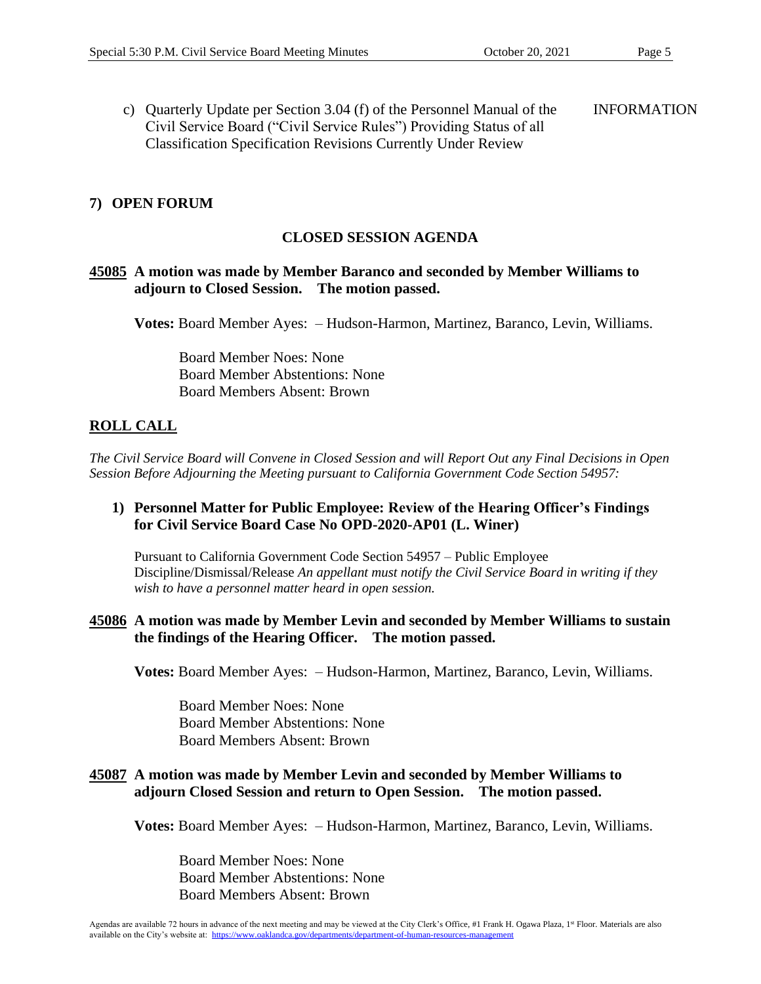c) Quarterly Update per Section 3.04 (f) of the Personnel Manual of the Civil Service Board ("Civil Service Rules") Providing Status of all Classification Specification Revisions Currently Under Review INFORMATION

### **7) OPEN FORUM**

#### **CLOSED SESSION AGENDA**

#### **45085 A motion was made by Member Baranco and seconded by Member Williams to adjourn to Closed Session. The motion passed.**

**Votes:** Board Member Ayes: – Hudson-Harmon, Martinez, Baranco, Levin, Williams.

 Board Member Noes: None Board Member Abstentions: None Board Members Absent: Brown

### **ROLL CALL**

*The Civil Service Board will Convene in Closed Session and will Report Out any Final Decisions in Open Session Before Adjourning the Meeting pursuant to California Government Code Section 54957:*

### **1) Personnel Matter for Public Employee: Review of the Hearing Officer's Findings for Civil Service Board Case No OPD-2020-AP01 (L. Winer)**

Pursuant to California Government Code Section 54957 – Public Employee Discipline/Dismissal/Release *An appellant must notify the Civil Service Board in writing if they wish to have a personnel matter heard in open session.*

#### **45086 A motion was made by Member Levin and seconded by Member Williams to sustain the findings of the Hearing Officer. The motion passed.**

**Votes:** Board Member Ayes: – Hudson-Harmon, Martinez, Baranco, Levin, Williams.

 Board Member Noes: None Board Member Abstentions: None Board Members Absent: Brown

#### **45087 A motion was made by Member Levin and seconded by Member Williams to adjourn Closed Session and return to Open Session. The motion passed.**

**Votes:** Board Member Ayes: – Hudson-Harmon, Martinez, Baranco, Levin, Williams.

 Board Member Noes: None Board Member Abstentions: None Board Members Absent: Brown